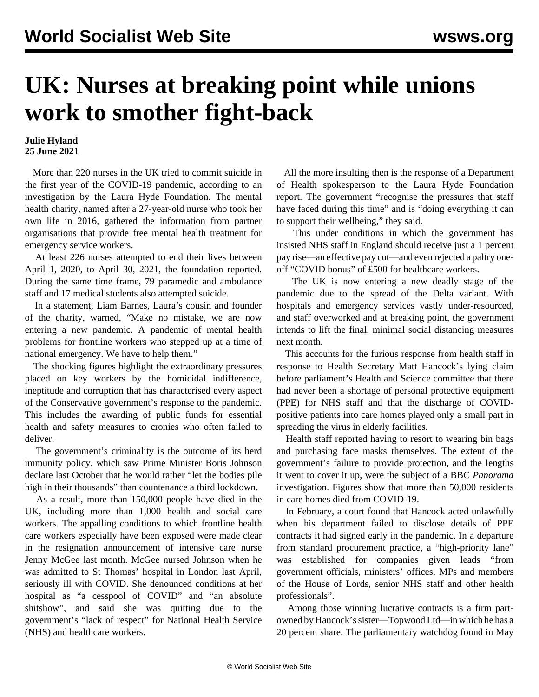## **UK: Nurses at breaking point while unions work to smother fight-back**

## **Julie Hyland 25 June 2021**

 More than 220 nurses in the UK tried to commit suicide in the first year of the COVID-19 pandemic, according to an investigation by the Laura Hyde Foundation. The mental health charity, named after a 27-year-old nurse who took her own life in 2016, gathered the information from partner organisations that provide free mental health treatment for emergency service workers.

 At least 226 nurses attempted to end their lives between April 1, 2020, to April 30, 2021, the foundation reported. During the same time frame, 79 paramedic and ambulance staff and 17 medical students also attempted suicide.

 In a statement, Liam Barnes, Laura's cousin and founder of the charity, warned, "Make no mistake, we are now entering a new pandemic. A pandemic of mental health problems for frontline workers who stepped up at a time of national emergency. We have to help them."

 The shocking figures highlight the extraordinary pressures placed on key workers by the homicidal indifference, ineptitude and corruption that has characterised every aspect of the Conservative government's response to the pandemic. This includes the awarding of public funds for essential health and safety measures to cronies who often failed to deliver.

 The government's criminality is the outcome of its herd immunity policy, which saw Prime Minister Boris Johnson declare last October that he would rather "let the bodies pile high in their thousands" than countenance a third lockdown.

 As a result, more than 150,000 people have died in the UK, including more than 1,000 health and social care workers. The appalling conditions to which frontline health care workers especially have been exposed were made clear in the resignation announcement of intensive care nurse Jenny McGee last month. McGee nursed Johnson when he was admitted to St Thomas' hospital in London last April, seriously ill with COVID. She denounced conditions at her hospital as "a cesspool of COVID" and "an absolute shitshow", and said she was quitting due to the government's "lack of respect" for National Health Service (NHS) and healthcare workers.

 All the more insulting then is the response of a Department of Health spokesperson to the Laura Hyde Foundation report. The government "recognise the pressures that staff have faced during this time" and is "doing everything it can to support their wellbeing," they said.

 This under conditions in which the government has insisted NHS staff in England should receive just a 1 percent pay rise—an effective pay cut—and even rejected a paltry oneoff "COVID bonus" of £500 for healthcare workers.

 The UK is now entering a new deadly stage of the pandemic due to the spread of the Delta variant. With hospitals and emergency services vastly under-resourced, and staff overworked and at breaking point, the government intends to lift the final, minimal social distancing measures next month.

 This accounts for the furious response from health staff in response to Health Secretary Matt Hancock's lying claim before parliament's Health and Science committee that there had never been a shortage of personal protective equipment (PPE) for NHS staff and that the discharge of COVIDpositive patients into care homes played only a small part in spreading the virus in elderly facilities.

 Health staff reported having to resort to wearing bin bags and purchasing face masks themselves. The extent of the government's failure to provide protection, and the lengths it went to cover it up, were the subject of a BBC *Panorama* [investigation](/en/articles/2020/04/29/pano-a29.html). Figures show that more than 50,000 residents in care homes died from COVID-19.

 In February, a court found that Hancock acted unlawfully when his department failed to disclose details of PPE contracts it had signed early in the pandemic. In a departure from standard procurement practice, a "high-priority lane" was established for companies given leads "from government officials, ministers' offices, MPs and members of the House of Lords, senior NHS staff and other health professionals".

 Among those winning lucrative contracts is a firm partowned by Hancock's sister—Topwood Ltd—in which he has a 20 percent share. The parliamentary watchdog found in May